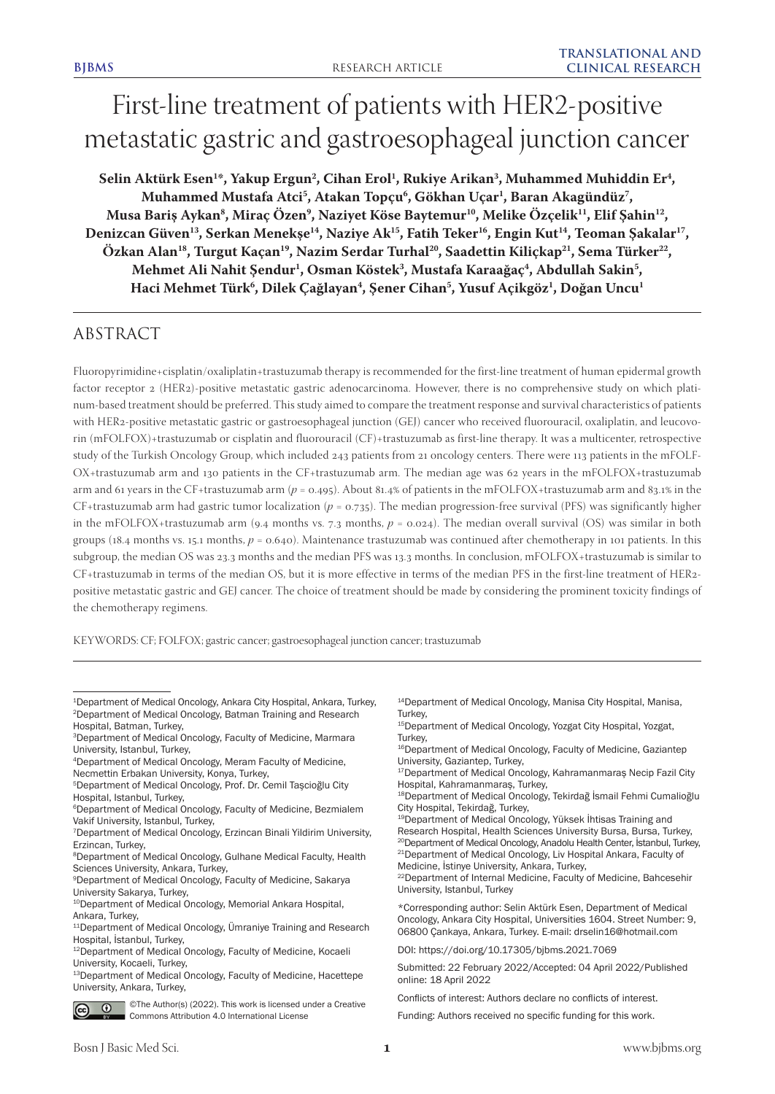# First-line treatment of patients with HER2-positive metastatic gastric and gastroesophageal junction cancer

Selin Aktürk Esen<sup>1\*</sup>, Yakup Ergun<sup>2</sup>, Cihan Erol<sup>1</sup>, Rukiye Arikan<sup>3</sup>, Muhammed Muhiddin Er<sup>4</sup>, **Muhammed Mustafa Atci5 , Atakan Topçu6 , Gökhan Uçar1 , Baran Akagündüz7 , Musa Bariş Aykan8 , Miraç Özen9 , Naziyet Köse Baytemur10, Melike Özçelik11, Elif Şahin12,**  Denizcan Güven<sup>13</sup>, Serkan Menekşe<sup>14</sup>, Naziye Ak<sup>15</sup>, Fatih Teker<sup>16</sup>, Engin Kut<sup>14</sup>, Teoman Şakalar<sup>17</sup>, Özkan Alan<sup>18</sup>, Turgut Kaçan<sup>19</sup>, Nazim Serdar Turhal<sup>20</sup>, Saadettin Kiliçkap<sup>21</sup>, Sema Türker<sup>22</sup>, Mehmet Ali Nahit Şendur<sup>ı</sup>, Osman Köstek<sup>3</sup>, Mustafa Karaağaç<sup>4</sup>, Abdullah Sakin<sup>5</sup>, **Haci Mehmet Türk6 , Dilek Çağlayan4 , Şener Cihan5 , Yusuf Açikgöz1 , Doğan Uncu1**

## ABSTRACT

Fluoropyrimidine+cisplatin/oxaliplatin+trastuzumab therapy is recommended for the first-line treatment of human epidermal growth factor receptor 2 (HER2)-positive metastatic gastric adenocarcinoma. However, there is no comprehensive study on which platinum-based treatment should be preferred. This study aimed to compare the treatment response and survival characteristics of patients with HER2-positive metastatic gastric or gastroesophageal junction (GEJ) cancer who received fluorouracil, oxaliplatin, and leucovorin (mFOLFOX)+trastuzumab or cisplatin and fluorouracil (CF)+trastuzumab as first-line therapy. It was a multicenter, retrospective study of the Turkish Oncology Group, which included 243 patients from 21 oncology centers. There were 113 patients in the mFOLF-OX+trastuzumab arm and 130 patients in the CF+trastuzumab arm. The median age was 62 years in the mFOLFOX+trastuzumab arm and 61 years in the CF+trastuzumab arm ( $p = 0.495$ ). About 81.4% of patients in the mFOLFOX+trastuzumab arm and 83.1% in the CF+trastuzumab arm had gastric tumor localization ( $p = 0.735$ ). The median progression-free survival (PFS) was significantly higher in the mFOLFOX+trastuzumab arm (9.4 months vs. 7.3 months, *p* = 0.024). The median overall survival (OS) was similar in both groups (18.4 months vs. 15.1 months,  $p = 0.640$ ). Maintenance trastuzumab was continued after chemotherapy in 101 patients. In this subgroup, the median OS was 23.3 months and the median PFS was 13.3 months. In conclusion, mFOLFOX+trastuzumab is similar to CF+trastuzumab in terms of the median OS, but it is more effective in terms of the median PFS in the first-line treatment of HER2 positive metastatic gastric and GEJ cancer. The choice of treatment should be made by considering the prominent toxicity findings of the chemotherapy regimens.

KEYWORDS: CF; FOLFOX; gastric cancer; gastroesophageal junction cancer; trastuzumab

<sup>13</sup>Department of Medical Oncology, Faculty of Medicine, Hacettepe University, Ankara, Turkey,



©The Author(s) (2022). This work is licensed under a Creative Commons Attribution 4.0 International License

<sup>14</sup>Department of Medical Oncology, Manisa City Hospital, Manisa, Turkey,

15Department of Medical Oncology, Yozgat City Hospital, Yozgat, Turkey,

16Department of Medical Oncology, Faculty of Medicine, Gaziantep University, Gaziantep, Turkey,

<sup>17</sup>Department of Medical Oncology, Kahramanmaraş Necip Fazil City Hospital, Kahramanmaraş, Turkey,

<sup>18</sup>Department of Medical Oncology, Tekirdağ İsmail Fehmi Cumalioğlu City Hospital, Tekirdağ, Turkey,

<sup>19</sup>Department of Medical Oncology, Yüksek İhtisas Training and Research Hospital, Health Sciences University Bursa, Bursa, Turkey,

<sup>20</sup>Department of Medical Oncology, Anadolu Health Center, İstanbul, Turkey, <sup>21</sup>Department of Medical Oncology, Liv Hospital Ankara, Faculty of Medicine, İstinye University, Ankara, Turkey,

22Department of Internal Medicine, Faculty of Medicine, Bahcesehir University, Istanbul, Turkey

\*Corresponding author: Selin Aktürk Esen, Department of Medical Oncology, Ankara City Hospital, Universities 1604. Street Number: 9, 06800 Çankaya, Ankara, Turkey. E-mail: drselin16@hotmail.com

DOI: https://doi.org/10.17305/bjbms.2021.7069

Submitted: 22 February 2022/Accepted: 04 April 2022/Published online: 18 April 2022

Conflicts of interest: Authors declare no conflicts of interest.

Funding: Authors received no specific funding for this work.

<sup>1</sup>Department of Medical Oncology, Ankara City Hospital, Ankara, Turkey, 2Department of Medical Oncology, Batman Training and Research Hospital, Batman, Turkey,

<sup>3</sup>Department of Medical Oncology, Faculty of Medicine, Marmara University, Istanbul, Turkey,

<sup>4</sup>Department of Medical Oncology, Meram Faculty of Medicine, Necmettin Erbakan University, Konya, Turkey,

<sup>5</sup>Department of Medical Oncology, Prof. Dr. Cemil Taşcioğlu City Hospital, Istanbul, Turkey,

<sup>6</sup>Department of Medical Oncology, Faculty of Medicine, Bezmialem Vakif University, Istanbul, Turkey,

<sup>7</sup>Department of Medical Oncology, Erzincan Binali Yildirim University, Erzincan, Turkey,

<sup>8</sup>Department of Medical Oncology, Gulhane Medical Faculty, Health Sciences University, Ankara, Turkey,

<sup>9</sup>Department of Medical Oncology, Faculty of Medicine, Sakarya University Sakarya, Turkey,

<sup>&</sup>lt;sup>10</sup>Department of Medical Oncology, Memorial Ankara Hospital, Ankara, Turkey,

<sup>&</sup>lt;sup>11</sup>Department of Medical Oncology, Ümraniye Training and Research Hospital, İstanbul, Turkey,

<sup>12</sup>Department of Medical Oncology, Faculty of Medicine, Kocaeli University, Kocaeli, Turkey,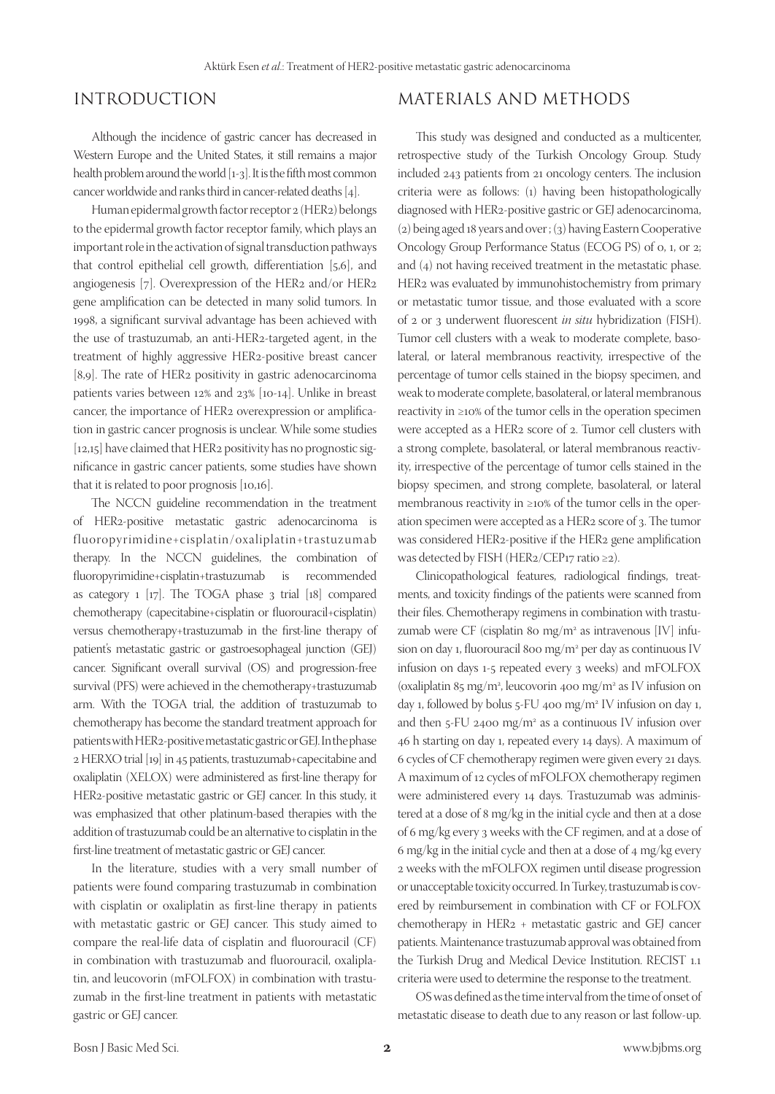## INTRODUCTION

Although the incidence of gastric cancer has decreased in Western Europe and the United States, it still remains a major health problem around the world [1-3]. It is the fifth most common cancer worldwide and ranks third in cancer-related deaths [4].

Human epidermal growth factor receptor 2 (HER2) belongs to the epidermal growth factor receptor family, which plays an important role in the activation of signal transduction pathways that control epithelial cell growth, differentiation [5,6], and angiogenesis [7]. Overexpression of the HER2 and/or HER2 gene amplification can be detected in many solid tumors. In 1998, a significant survival advantage has been achieved with the use of trastuzumab, an anti-HER2-targeted agent, in the treatment of highly aggressive HER2-positive breast cancer [8,9]. The rate of HER2 positivity in gastric adenocarcinoma patients varies between 12% and 23% [10-14]. Unlike in breast cancer, the importance of HER2 overexpression or amplification in gastric cancer prognosis is unclear. While some studies [12,15] have claimed that HER2 positivity has no prognostic significance in gastric cancer patients, some studies have shown that it is related to poor prognosis [10,16].

The NCCN guideline recommendation in the treatment of HER2-positive metastatic gastric adenocarcinoma is f luoropyrimidine+cisplatin/oxaliplatin+trastuzumab therapy. In the NCCN guidelines, the combination of fluoropyrimidine+cisplatin+trastuzumab is recommended as category 1 [17]. The TOGA phase 3 trial [18] compared chemotherapy (capecitabine+cisplatin or fluorouracil+cisplatin) versus chemotherapy+trastuzumab in the first-line therapy of patient's metastatic gastric or gastroesophageal junction (GEJ) cancer. Significant overall survival (OS) and progression-free survival (PFS) were achieved in the chemotherapy+trastuzumab arm. With the TOGA trial, the addition of trastuzumab to chemotherapy has become the standard treatment approach for patients with HER2-positive metastatic gastric or GEJ. In the phase 2 HERXO trial [19] in 45 patients, trastuzumab+capecitabine and oxaliplatin (XELOX) were administered as first-line therapy for HER2-positive metastatic gastric or GEJ cancer. In this study, it was emphasized that other platinum-based therapies with the addition of trastuzumab could be an alternative to cisplatin in the first-line treatment of metastatic gastric or GEJ cancer.

In the literature, studies with a very small number of patients were found comparing trastuzumab in combination with cisplatin or oxaliplatin as first-line therapy in patients with metastatic gastric or GEJ cancer. This study aimed to compare the real-life data of cisplatin and fluorouracil (CF) in combination with trastuzumab and fluorouracil, oxaliplatin, and leucovorin (mFOLFOX) in combination with trastuzumab in the first-line treatment in patients with metastatic gastric or GEJ cancer.

## MATERIALS AND METHODS

This study was designed and conducted as a multicenter, retrospective study of the Turkish Oncology Group. Study included 243 patients from 21 oncology centers. The inclusion criteria were as follows: (1) having been histopathologically diagnosed with HER2-positive gastric or GEJ adenocarcinoma, (2) being aged 18 years and over ; (3) having Eastern Cooperative Oncology Group Performance Status (ECOG PS) of 0, 1, or 2; and (4) not having received treatment in the metastatic phase. HER2 was evaluated by immunohistochemistry from primary or metastatic tumor tissue, and those evaluated with a score of 2 or 3 underwent fluorescent *in situ* hybridization (FISH). Tumor cell clusters with a weak to moderate complete, basolateral, or lateral membranous reactivity, irrespective of the percentage of tumor cells stained in the biopsy specimen, and weak to moderate complete, basolateral, or lateral membranous reactivity in ≥10% of the tumor cells in the operation specimen were accepted as a HER2 score of 2. Tumor cell clusters with a strong complete, basolateral, or lateral membranous reactivity, irrespective of the percentage of tumor cells stained in the biopsy specimen, and strong complete, basolateral, or lateral membranous reactivity in ≥10% of the tumor cells in the operation specimen were accepted as a HER2 score of 3. The tumor was considered HER2-positive if the HER2 gene amplification was detected by FISH (HER2/CEP17 ratio ≥2).

Clinicopathological features, radiological findings, treatments, and toxicity findings of the patients were scanned from their files. Chemotherapy regimens in combination with trastuzumab were CF (cisplatin 80 mg/m2 as intravenous [IV] infusion on day 1, fluorouracil 800 mg/m<sup>2</sup> per day as continuous IV infusion on days 1-5 repeated every 3 weeks) and mFOLFOX (oxaliplatin 85 mg/m2 , leucovorin 400 mg/m2 as IV infusion on day 1, followed by bolus 5-FU 400 mg/m2 IV infusion on day 1, and then 5-FU 2400 mg/m<sup>2</sup> as a continuous IV infusion over 46 h starting on day 1, repeated every 14 days). A maximum of 6 cycles of CF chemotherapy regimen were given every 21 days. A maximum of 12 cycles of mFOLFOX chemotherapy regimen were administered every 14 days. Trastuzumab was administered at a dose of 8 mg/kg in the initial cycle and then at a dose of 6 mg/kg every 3 weeks with the CF regimen, and at a dose of 6 mg/kg in the initial cycle and then at a dose of 4 mg/kg every 2 weeks with the mFOLFOX regimen until disease progression or unacceptable toxicity occurred. In Turkey, trastuzumab is covered by reimbursement in combination with CF or FOLFOX chemotherapy in HER2 + metastatic gastric and GEJ cancer patients. Maintenance trastuzumab approval was obtained from the Turkish Drug and Medical Device Institution. RECIST 1.1 criteria were used to determine the response to the treatment.

OS was defined as the time interval from the time of onset of metastatic disease to death due to any reason or last follow-up.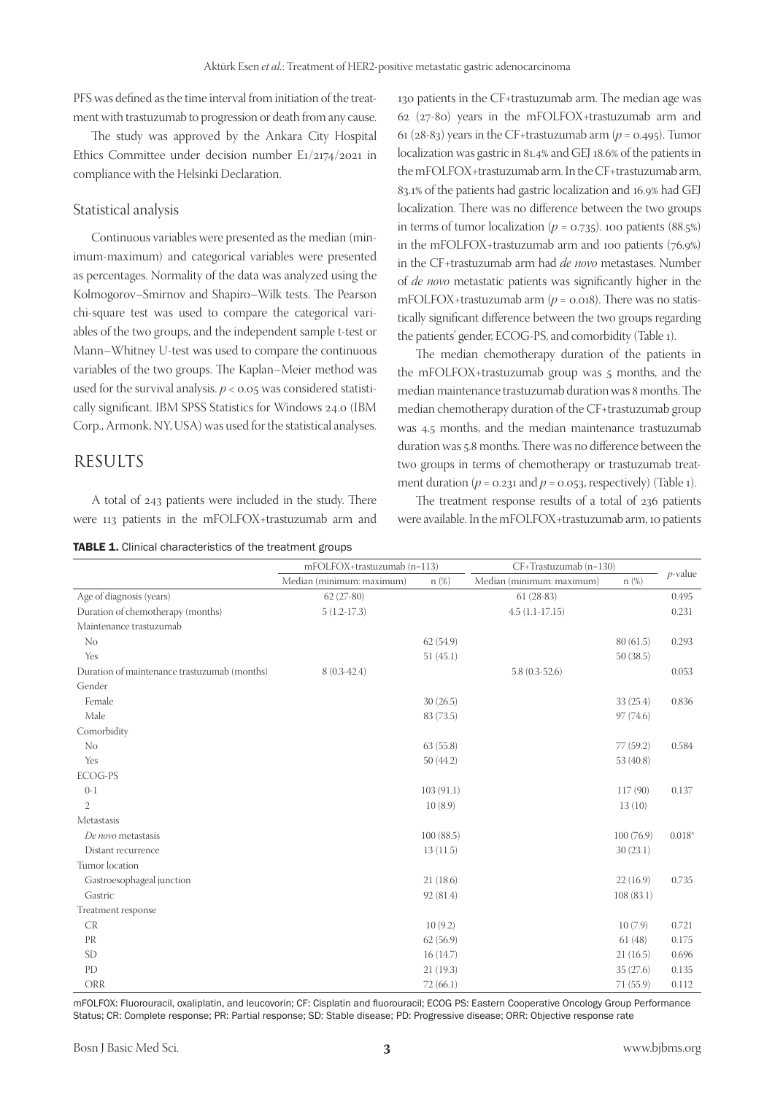PFS was defined as the time interval from initiation of the treatment with trastuzumab to progression or death from any cause.

The study was approved by the Ankara City Hospital Ethics Committee under decision number E1/2174/2021 in compliance with the Helsinki Declaration.

#### Statistical analysis

Continuous variables were presented as the median (minimum-maximum) and categorical variables were presented as percentages. Normality of the data was analyzed using the Kolmogorov–Smirnov and Shapiro–Wilk tests. The Pearson chi-square test was used to compare the categorical variables of the two groups, and the independent sample t-test or Mann–Whitney U-test was used to compare the continuous variables of the two groups. The Kaplan–Meier method was used for the survival analysis.  $p < 0.05$  was considered statistically significant. IBM SPSS Statistics for Windows 24.0 (IBM Corp., Armonk, NY, USA) was used for the statistical analyses.

### RESULTS

A total of 243 patients were included in the study. There were 113 patients in the mFOLFOX+trastuzumab arm and

TABLE 1. Clinical characteristics of the treatment groups

130 patients in the CF+trastuzumab arm. The median age was 62 (27-80) years in the mFOLFOX+trastuzumab arm and 61 (28-83) years in the CF+trastuzumab arm ( $p = 0.495$ ). Tumor localization was gastric in 81.4% and GEJ 18.6% of the patients in the mFOLFOX+trastuzumab arm. In the CF+trastuzumab arm, 83.1% of the patients had gastric localization and 16.9% had GEJ localization. There was no difference between the two groups in terms of tumor localization  $(p = 0.735)$ . 100 patients (88.5%) in the mFOLFOX+trastuzumab arm and 100 patients (76.9%) in the CF+trastuzumab arm had *de novo* metastases. Number of *de novo* metastatic patients was significantly higher in the mFOLFOX+trastuzumab arm  $(p = 0.018)$ . There was no statistically significant difference between the two groups regarding the patients' gender, ECOG-PS, and comorbidity (Table 1).

The median chemotherapy duration of the patients in the mFOLFOX+trastuzumab group was 5 months, and the median maintenance trastuzumab duration was 8 months. The median chemotherapy duration of the CF+trastuzumab group was 4.5 months, and the median maintenance trastuzumab duration was 5.8 months. There was no difference between the two groups in terms of chemotherapy or trastuzumab treatment duration  $(p = 0.231$  and  $p = 0.053$ , respectively) (Table 1).

The treatment response results of a total of 236 patients were available. In the mFOLFOX+trastuzumab arm, 10 patients

|                                              | mFOLFOX+trastuzumab (n=113) |           | CF+Trastuzumab (n=130)    |            |            |
|----------------------------------------------|-----------------------------|-----------|---------------------------|------------|------------|
|                                              | Median (minimum: maximum)   | $n(\%)$   | Median (minimum: maximum) | $n(\%)$    | $p$ -value |
| Age of diagnosis (years)                     | $62(27-80)$                 |           | $61(28-83)$               |            | 0.495      |
| Duration of chemotherapy (months)            | $5(1.2-17.3)$               |           | $4.5(1.1-17.15)$          |            | 0.231      |
| Maintenance trastuzumab                      |                             |           |                           |            |            |
| No                                           |                             | 62(54.9)  |                           | 80(61.5)   | 0.293      |
| Yes                                          |                             | 51(45.1)  |                           | 50(38.5)   |            |
| Duration of maintenance trastuzumab (months) | $8(0.3-42.4)$               |           | $5.8(0.3-52.6)$           |            | 0.053      |
| Gender                                       |                             |           |                           |            |            |
| Female                                       |                             | 30(26.5)  |                           | 33(25.4)   | 0.836      |
| Male                                         |                             | 83 (73.5) |                           | 97 (74.6)  |            |
| Comorbidity                                  |                             |           |                           |            |            |
| No                                           |                             | 63(55.8)  |                           | 77(59.2)   | 0.584      |
| Yes                                          |                             | 50(44.2)  |                           | 53(40.8)   |            |
| <b>ECOG-PS</b>                               |                             |           |                           |            |            |
| $0-1$                                        |                             | 103(91.1) |                           | 117(90)    | 0.137      |
| $\overline{2}$                               |                             | 10(8.9)   |                           | 13(10)     |            |
| Metastasis                                   |                             |           |                           |            |            |
| De novo metastasis                           |                             | 100(88.5) |                           | 100 (76.9) | $0.018*$   |
| Distant recurrence                           |                             | 13(11.5)  |                           | 30(23.1)   |            |
| Tumor location                               |                             |           |                           |            |            |
| Gastroesophageal junction                    |                             | 21(18.6)  |                           | 22(16.9)   | 0.735      |
| Gastric                                      |                             | 92(81.4)  |                           | 108(83.1)  |            |
| Treatment response                           |                             |           |                           |            |            |
| CR                                           |                             | 10(9.2)   |                           | 10(7.9)    | 0.721      |
| PR                                           |                             | 62(56.9)  |                           | 61(48)     | 0.175      |
| <b>SD</b>                                    |                             | 16(14.7)  |                           | 21(16.5)   | 0.696      |
| PD                                           |                             | 21(19.3)  |                           | 35(27.6)   | 0.135      |
| ORR                                          |                             | 72(66.1)  |                           | 71(55.9)   | 0.112      |

mFOLFOX: Fluorouracil, oxaliplatin, and leucovorin; CF: Cisplatin and fluorouracil; ECOG PS: Eastern Cooperative Oncology Group Performance Status; CR: Complete response; PR: Partial response; SD: Stable disease; PD: Progressive disease; ORR: Objective response rate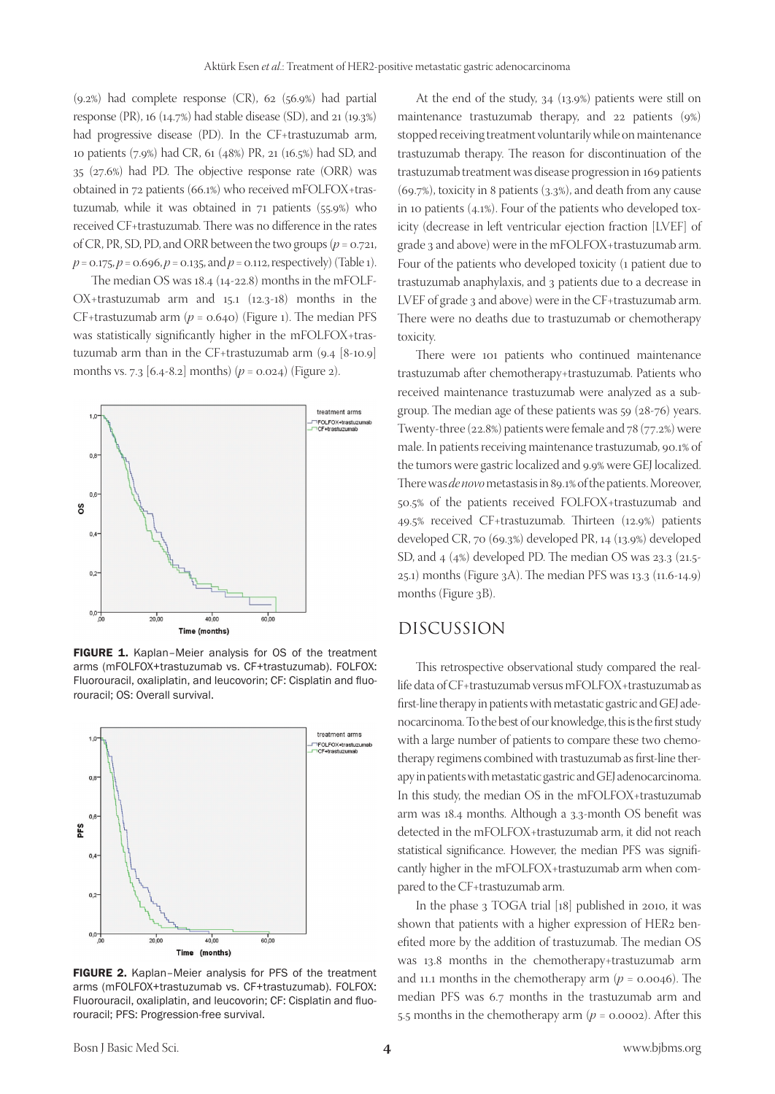(9.2%) had complete response (CR), 62 (56.9%) had partial response (PR), 16 (14.7%) had stable disease (SD), and 21 (19.3%) had progressive disease (PD). In the CF+trastuzumab arm, 10 patients (7.9%) had CR, 61 (48%) PR, 21 (16.5%) had SD, and 35 (27.6%) had PD. The objective response rate (ORR) was obtained in 72 patients (66.1%) who received mFOLFOX+trastuzumab, while it was obtained in 71 patients (55.9%) who received CF+trastuzumab. There was no difference in the rates of CR, PR, SD, PD, and ORR between the two groups ( $p = 0.721$ ,  $p = 0.175, p = 0.696, p = 0.135, \text{ and } p = 0.112, \text{ respectively}$  (Table 1).

The median OS was 18.4 (14-22.8) months in the mFOLF-OX+trastuzumab arm and 15.1 (12.3-18) months in the CF+trastuzumab arm  $(p = 0.640)$  (Figure 1). The median PFS was statistically significantly higher in the mFOLFOX+trastuzumab arm than in the CF+trastuzumab arm (9.4 [8-10.9] months vs. 7.3  $[6.4-8.2]$  months)  $(p = 0.024)$  (Figure 2).



FIGURE 1. Kaplan–Meier analysis for OS of the treatment arms (mFOLFOX+trastuzumab vs. CF+trastuzumab). FOLFOX: Fluorouracil, oxaliplatin, and leucovorin; CF: Cisplatin and fluorouracil; OS: Overall survival.



FIGURE 2. Kaplan-Meier analysis for PFS of the treatment arms (mFOLFOX+trastuzumab vs. CF+trastuzumab). FOLFOX: Fluorouracil, oxaliplatin, and leucovorin; CF: Cisplatin and fluorouracil; PFS: Progression-free survival.

At the end of the study, 34 (13.9%) patients were still on maintenance trastuzumab therapy, and 22 patients (9%) stopped receiving treatment voluntarily while on maintenance trastuzumab therapy. The reason for discontinuation of the trastuzumab treatment was disease progression in 169 patients (69.7%), toxicity in 8 patients (3.3%), and death from any cause in 10 patients (4.1%). Four of the patients who developed toxicity (decrease in left ventricular ejection fraction [LVEF] of grade 3 and above) were in the mFOLFOX+trastuzumab arm. Four of the patients who developed toxicity (1 patient due to trastuzumab anaphylaxis, and 3 patients due to a decrease in LVEF of grade 3 and above) were in the CF+trastuzumab arm. There were no deaths due to trastuzumab or chemotherapy toxicity.

There were 101 patients who continued maintenance trastuzumab after chemotherapy+trastuzumab. Patients who received maintenance trastuzumab were analyzed as a subgroup. The median age of these patients was 59 (28-76) years. Twenty-three (22.8%) patients were female and 78 (77.2%) were male. In patients receiving maintenance trastuzumab, 90.1% of the tumors were gastric localized and 9.9% were GEJ localized. There was *de novo* metastasis in 89.1% of the patients. Moreover, 50.5% of the patients received FOLFOX+trastuzumab and 49.5% received CF+trastuzumab. Thirteen (12.9%) patients developed CR, 70 (69.3%) developed PR, 14 (13.9%) developed SD, and 4 (4%) developed PD. The median OS was 23.3 (21.5- 25.1) months (Figure 3A). The median PFS was 13.3 (11.6-14.9) months (Figure 3B).

#### DISCUSSION

This retrospective observational study compared the reallife data of CF+trastuzumab versus mFOLFOX+trastuzumab as first-line therapy in patients with metastatic gastric and GEJ adenocarcinoma. To the best of our knowledge, this is the first study with a large number of patients to compare these two chemotherapy regimens combined with trastuzumab as first-line therapy in patients with metastatic gastric and GEJ adenocarcinoma. In this study, the median OS in the mFOLFOX+trastuzumab arm was 18.4 months. Although a 3.3-month OS benefit was detected in the mFOLFOX+trastuzumab arm, it did not reach statistical significance. However, the median PFS was significantly higher in the mFOLFOX+trastuzumab arm when compared to the CF+trastuzumab arm.

In the phase 3 TOGA trial [18] published in 2010, it was shown that patients with a higher expression of HER2 benefited more by the addition of trastuzumab. The median OS was 13.8 months in the chemotherapy+trastuzumab arm and 11.1 months in the chemotherapy arm  $(p = 0.0046)$ . The median PFS was 6.7 months in the trastuzumab arm and 5.5 months in the chemotherapy arm (*p* = 0.0002). After this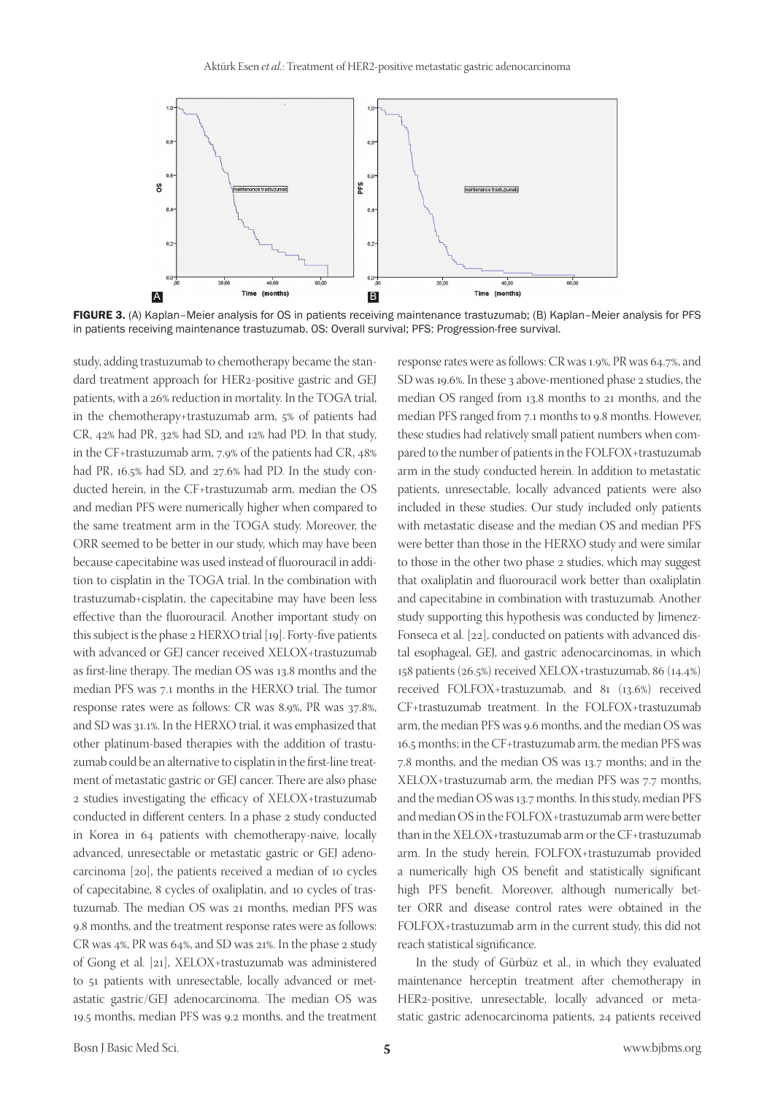

FIGURE 3. (A) Kaplan–Meier analysis for OS in patients receiving maintenance trastuzumab; (B) Kaplan–Meier analysis for PFS in patients receiving maintenance trastuzumab. OS: Overall survival; PFS: Progression-free survival.

study, adding trastuzumab to chemotherapy became the standard treatment approach for HER2-positive gastric and GEJ patients, with a 26% reduction in mortality. In the TOGA trial, in the chemotherapy+trastuzumab arm, 5% of patients had CR, 42% had PR, 32% had SD, and 12% had PD. In that study, in the CF+trastuzumab arm, 7.9% of the patients had CR, 48% had PR, 16.5% had SD, and 27.6% had PD. In the study conducted herein, in the CF+trastuzumab arm, median the OS and median PFS were numerically higher when compared to the same treatment arm in the TOGA study. Moreover, the ORR seemed to be better in our study, which may have been because capecitabine was used instead of fluorouracil in addition to cisplatin in the TOGA trial. In the combination with trastuzumab+cisplatin, the capecitabine may have been less effective than the fluorouracil. Another important study on this subject is the phase 2 HERXO trial [19]. Forty-five patients with advanced or GEJ cancer received XELOX+trastuzumab as first-line therapy. The median OS was 13.8 months and the median PFS was 7.1 months in the HERXO trial. The tumor response rates were as follows: CR was 8.9%, PR was 37.8%, and SD was 31.1%. In the HERXO trial, it was emphasized that other platinum-based therapies with the addition of trastuzumab could be an alternative to cisplatin in the first-line treatment of metastatic gastric or GEJ cancer. There are also phase 2 studies investigating the efficacy of XELOX+trastuzumab conducted in different centers. In a phase 2 study conducted in Korea in 64 patients with chemotherapy-naive, locally advanced, unresectable or metastatic gastric or GEJ adenocarcinoma [20], the patients received a median of 10 cycles of capecitabine, 8 cycles of oxaliplatin, and 10 cycles of trastuzumab. The median OS was 21 months, median PFS was 9.8 months, and the treatment response rates were as follows: CR was 4%, PR was 64%, and SD was 21%. In the phase 2 study of Gong et al. [21], XELOX+trastuzumab was administered to 51 patients with unresectable, locally advanced or metastatic gastric/GEJ adenocarcinoma. The median OS was 19.5 months, median PFS was 9.2 months, and the treatment

response rates were as follows: CR was 1.9%, PR was 64.7%, and SD was 19.6%. In these 3 above-mentioned phase 2 studies, the median OS ranged from 13.8 months to 21 months, and the median PFS ranged from 7.1 months to 9.8 months. However, these studies had relatively small patient numbers when compared to the number of patients in the FOLFOX+trastuzumab arm in the study conducted herein. In addition to metastatic patients, unresectable, locally advanced patients were also included in these studies. Our study included only patients with metastatic disease and the median OS and median PFS were better than those in the HERXO study and were similar to those in the other two phase 2 studies, which may suggest that oxaliplatin and fluorouracil work better than oxaliplatin and capecitabine in combination with trastuzumab. Another study supporting this hypothesis was conducted by Jimenez-Fonseca et al. [22], conducted on patients with advanced distal esophageal, GEJ, and gastric adenocarcinomas, in which 158 patients (26.5%) received XELOX+trastuzumab, 86 (14.4%) received FOLFOX+trastuzumab, and 81 (13.6%) received CF+trastuzumab treatment. In the FOLFOX+trastuzumab arm, the median PFS was 9.6 months, and the median OS was 16.5 months; in the CF+trastuzumab arm, the median PFS was 7.8 months, and the median OS was 13.7 months; and in the XELOX+trastuzumab arm, the median PFS was 7.7 months, and the median OS was 13.7 months. In this study, median PFS and median OS in the FOLFOX+trastuzumab arm were better than in the XELOX+trastuzumab arm or the CF+trastuzumab arm. In the study herein, FOLFOX+trastuzumab provided a numerically high OS benefit and statistically significant high PFS benefit. Moreover, although numerically better ORR and disease control rates were obtained in the FOLFOX+trastuzumab arm in the current study, this did not reach statistical significance.

In the study of Gürbüz et al., in which they evaluated maintenance herceptin treatment after chemotherapy in HER2-positive, unresectable, locally advanced or metastatic gastric adenocarcinoma patients, 24 patients received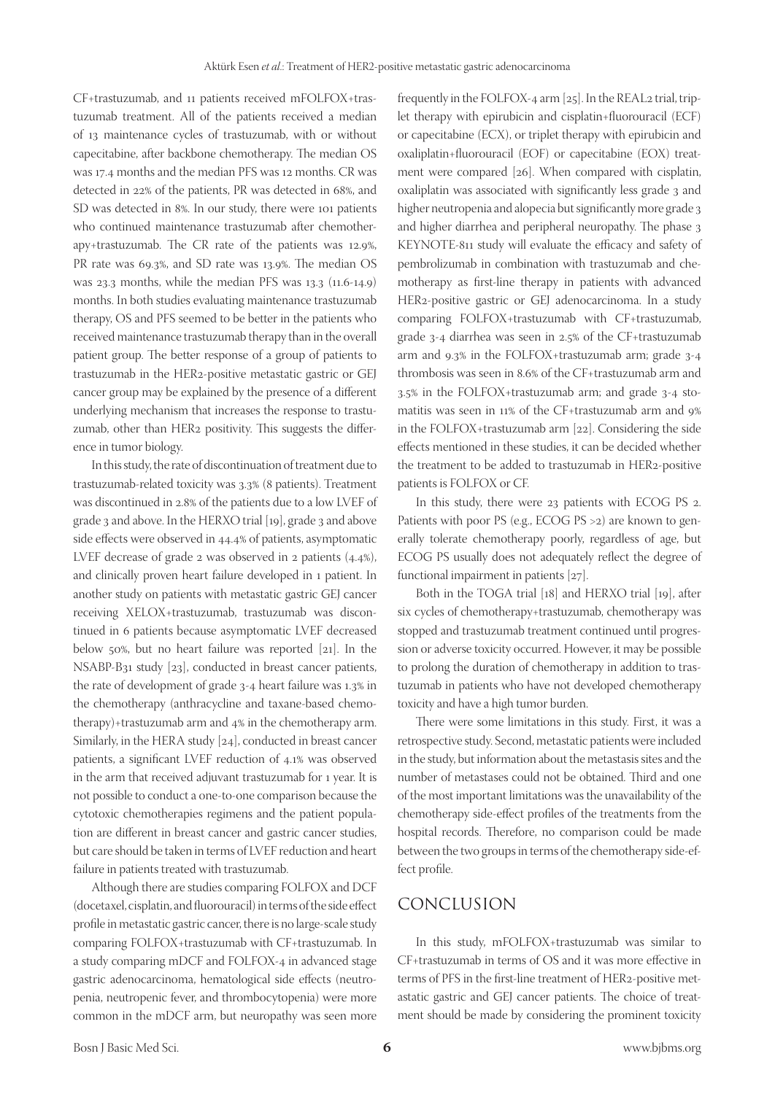CF+trastuzumab, and 11 patients received mFOLFOX+trastuzumab treatment. All of the patients received a median of 13 maintenance cycles of trastuzumab, with or without capecitabine, after backbone chemotherapy. The median OS was 17.4 months and the median PFS was 12 months. CR was detected in 22% of the patients, PR was detected in 68%, and SD was detected in 8%. In our study, there were 101 patients who continued maintenance trastuzumab after chemotherapy+trastuzumab. The CR rate of the patients was 12.9%, PR rate was 69.3%, and SD rate was 13.9%. The median OS was 23.3 months, while the median PFS was 13.3 (11.6-14.9) months. In both studies evaluating maintenance trastuzumab therapy, OS and PFS seemed to be better in the patients who received maintenance trastuzumab therapy than in the overall patient group. The better response of a group of patients to trastuzumab in the HER2-positive metastatic gastric or GEJ cancer group may be explained by the presence of a different underlying mechanism that increases the response to trastuzumab, other than HER2 positivity. This suggests the difference in tumor biology.

In this study, the rate of discontinuation of treatment due to trastuzumab-related toxicity was 3.3% (8 patients). Treatment was discontinued in 2.8% of the patients due to a low LVEF of grade 3 and above. In the HERXO trial [19], grade 3 and above side effects were observed in 44.4% of patients, asymptomatic LVEF decrease of grade 2 was observed in 2 patients (4.4%), and clinically proven heart failure developed in 1 patient. In another study on patients with metastatic gastric GEJ cancer receiving XELOX+trastuzumab, trastuzumab was discontinued in 6 patients because asymptomatic LVEF decreased below 50%, but no heart failure was reported [21]. In the NSABP-B31 study [23], conducted in breast cancer patients, the rate of development of grade 3-4 heart failure was 1.3% in the chemotherapy (anthracycline and taxane-based chemotherapy)+trastuzumab arm and 4% in the chemotherapy arm. Similarly, in the HERA study [24], conducted in breast cancer patients, a significant LVEF reduction of 4.1% was observed in the arm that received adjuvant trastuzumab for 1 year. It is not possible to conduct a one-to-one comparison because the cytotoxic chemotherapies regimens and the patient population are different in breast cancer and gastric cancer studies, but care should be taken in terms of LVEF reduction and heart failure in patients treated with trastuzumab.

Although there are studies comparing FOLFOX and DCF (docetaxel, cisplatin, and fluorouracil) in terms of the side effect profile in metastatic gastric cancer, there is no large-scale study comparing FOLFOX+trastuzumab with CF+trastuzumab. In a study comparing mDCF and FOLFOX-4 in advanced stage gastric adenocarcinoma, hematological side effects (neutropenia, neutropenic fever, and thrombocytopenia) were more common in the mDCF arm, but neuropathy was seen more

frequently in the FOLFOX-4 arm [25]. In the REAL2 trial, triplet therapy with epirubicin and cisplatin+fluorouracil (ECF) or capecitabine (ECX), or triplet therapy with epirubicin and oxaliplatin+fluorouracil (EOF) or capecitabine (EOX) treatment were compared [26]. When compared with cisplatin, oxaliplatin was associated with significantly less grade 3 and higher neutropenia and alopecia but significantly more grade 3 and higher diarrhea and peripheral neuropathy. The phase 3 KEYNOTE-811 study will evaluate the efficacy and safety of pembrolizumab in combination with trastuzumab and chemotherapy as first-line therapy in patients with advanced HER2-positive gastric or GEJ adenocarcinoma. In a study comparing FOLFOX+trastuzumab with CF+trastuzumab, grade 3-4 diarrhea was seen in 2.5% of the CF+trastuzumab arm and 9.3% in the FOLFOX+trastuzumab arm; grade 3-4 thrombosis was seen in 8.6% of the CF+trastuzumab arm and 3.5% in the FOLFOX+trastuzumab arm; and grade 3-4 stomatitis was seen in 11% of the CF+trastuzumab arm and 9% in the FOLFOX+trastuzumab arm [22]. Considering the side effects mentioned in these studies, it can be decided whether the treatment to be added to trastuzumab in HER2-positive patients is FOLFOX or CF.

In this study, there were 23 patients with ECOG PS 2. Patients with poor PS (e.g., ECOG PS >2) are known to generally tolerate chemotherapy poorly, regardless of age, but ECOG PS usually does not adequately reflect the degree of functional impairment in patients [27].

Both in the TOGA trial [18] and HERXO trial [19], after six cycles of chemotherapy+trastuzumab, chemotherapy was stopped and trastuzumab treatment continued until progression or adverse toxicity occurred. However, it may be possible to prolong the duration of chemotherapy in addition to trastuzumab in patients who have not developed chemotherapy toxicity and have a high tumor burden.

There were some limitations in this study. First, it was a retrospective study. Second, metastatic patients were included in the study, but information about the metastasis sites and the number of metastases could not be obtained. Third and one of the most important limitations was the unavailability of the chemotherapy side-effect profiles of the treatments from the hospital records. Therefore, no comparison could be made between the two groups in terms of the chemotherapy side-effect profile.

#### CONCLUSION

In this study, mFOLFOX+trastuzumab was similar to CF+trastuzumab in terms of OS and it was more effective in terms of PFS in the first-line treatment of HER2-positive metastatic gastric and GEJ cancer patients. The choice of treatment should be made by considering the prominent toxicity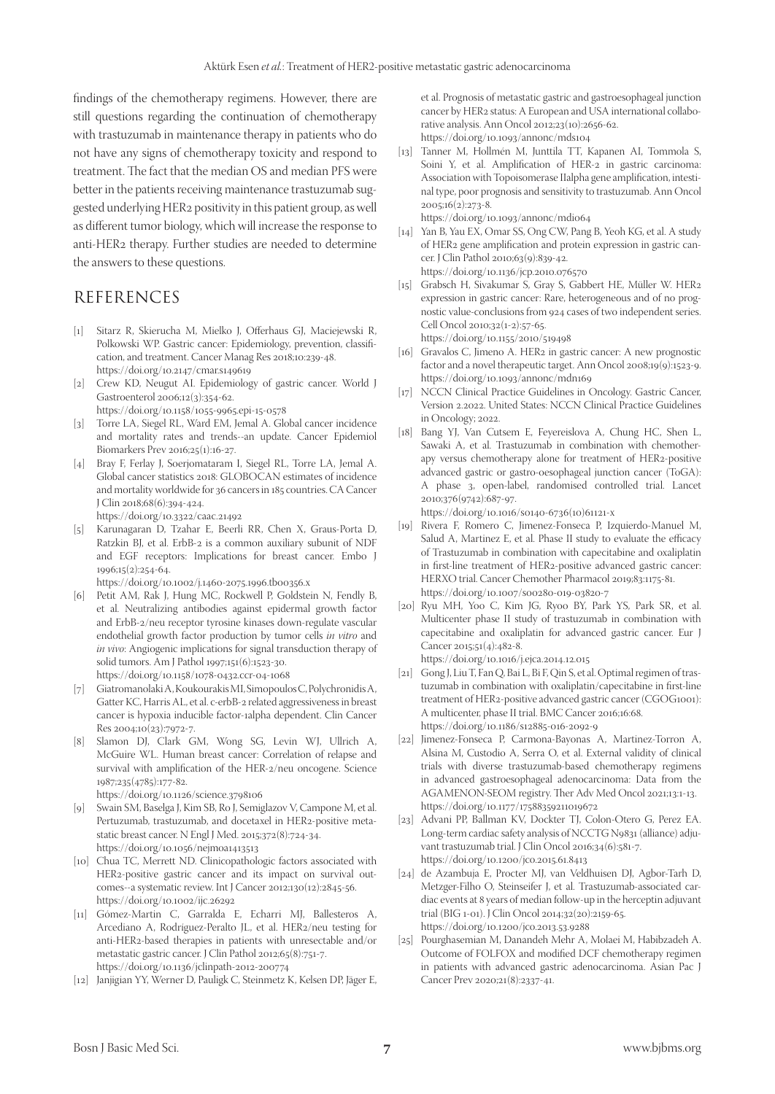findings of the chemotherapy regimens. However, there are still questions regarding the continuation of chemotherapy with trastuzumab in maintenance therapy in patients who do not have any signs of chemotherapy toxicity and respond to treatment. The fact that the median OS and median PFS were better in the patients receiving maintenance trastuzumab suggested underlying HER2 positivity in this patient group, as well as different tumor biology, which will increase the response to anti-HER2 therapy. Further studies are needed to determine the answers to these questions.

#### REFERENCES

- [1] Sitarz R, Skierucha M, Mielko J, Offerhaus GJ, Maciejewski R, Polkowski WP. Gastric cancer: Epidemiology, prevention, classification, and treatment. Cancer Manag Res 2018;10:239-48. https://doi.org/10.2147/cmar.s149619
- [2] Crew KD, Neugut AI. Epidemiology of gastric cancer. World J Gastroenterol 2006;12(3):354-62. https://doi.org/10.1158/1055-9965.epi-15-0578
- [3] Torre LA, Siegel RL, Ward EM, Jemal A. Global cancer incidence and mortality rates and trends--an update. Cancer Epidemiol Biomarkers Prev 2016;25(1):16-27.
- [4] Bray F, Ferlay J, Soerjomataram I, Siegel RL, Torre LA, Jemal A. Global cancer statistics 2018: GLOBOCAN estimates of incidence and mortality worldwide for 36 cancers in 185 countries. CA Cancer J Clin 2018;68(6):394-424.
	- https://doi.org/10.3322/caac.21492
- [5] Karunagaran D, Tzahar E, Beerli RR, Chen X, Graus-Porta D, Ratzkin BJ, et al. ErbB-2 is a common auxiliary subunit of NDF and EGF receptors: Implications for breast cancer. Embo J 1996;15(2):254-64.

https://doi.org/10.1002/j.1460-2075.1996.tb00356.x

- [6] Petit AM, Rak J, Hung MC, Rockwell P, Goldstein N, Fendly B, et al. Neutralizing antibodies against epidermal growth factor and ErbB-2/neu receptor tyrosine kinases down-regulate vascular endothelial growth factor production by tumor cells *in vitro* and *in vivo*: Angiogenic implications for signal transduction therapy of solid tumors. Am J Pathol 1997;151(6):1523-30. https://doi.org/10.1158/1078-0432.ccr-04-1068
- [7] Giatromanolaki A, Koukourakis MI, Simopoulos C, Polychronidis A, Gatter KC, Harris AL, et al. c-erbB-2 related aggressiveness in breast cancer is hypoxia inducible factor-1alpha dependent. Clin Cancer Res 2004;10(23):7972-7.
- [8] Slamon DJ, Clark GM, Wong SG, Levin WJ, Ullrich A, McGuire WL. Human breast cancer: Correlation of relapse and survival with amplification of the HER-2/neu oncogene. Science 1987;235(4785):177-82. https://doi.org/10.1126/science.3798106
- [9] Swain SM, Baselga J, Kim SB, Ro J, Semiglazov V, Campone M, et al. Pertuzumab, trastuzumab, and docetaxel in HER2-positive metastatic breast cancer. N Engl J Med. 2015;372(8):724-34. https://doi.org/10.1056/nejmoa1413513
- [10] Chua TC, Merrett ND. Clinicopathologic factors associated with HER2-positive gastric cancer and its impact on survival outcomes--a systematic review. Int J Cancer 2012;130(12):2845-56. https://doi.org/10.1002/ijc.26292
- [11] Gómez-Martin C, Garralda E, Echarri MJ, Ballesteros A, Arcediano A, Rodríguez-Peralto JL, et al. HER2/neu testing for anti-HER2-based therapies in patients with unresectable and/or metastatic gastric cancer. J Clin Pathol 2012;65(8):751-7. https://doi.org/10.1136/jclinpath-2012-200774
- [12] Janjigian YY, Werner D, Pauligk C, Steinmetz K, Kelsen DP, Jäger E,

et al. Prognosis of metastatic gastric and gastroesophageal junction cancer by HER2 status: A European and USA international collaborative analysis. Ann Oncol 2012;23(10):2656-62. https://doi.org/10.1093/annonc/mds104

[13] Tanner M, Hollmén M, Junttila TT, Kapanen AI, Tommola S, Soini Y, et al. Amplification of HER-2 in gastric carcinoma: Association with Topoisomerase IIalpha gene amplification, intestinal type, poor prognosis and sensitivity to trastuzumab. Ann Oncol  $2005;16(2):273-8.$ 

https://doi.org/10.1093/annonc/mdi064

- [14] Yan B, Yau EX, Omar SS, Ong CW, Pang B, Yeoh KG, et al. A study of HER2 gene amplification and protein expression in gastric cancer. J Clin Pathol 2010;63(9):839-42. https://doi.org/10.1136/jcp.2010.076570
- [15] Grabsch H, Sivakumar S, Gray S, Gabbert HE, Müller W. HER2 expression in gastric cancer: Rare, heterogeneous and of no prognostic value-conclusions from 924 cases of two independent series. Cell Oncol 2010;32(1-2):57-65. https://doi.org/10.1155/2010/519498
- [16] Gravalos C, Jimeno A. HER2 in gastric cancer: A new prognostic factor and a novel therapeutic target. Ann Oncol 2008;19(9):1523-9.
- https://doi.org/10.1093/annonc/mdn169 [17] NCCN Clinical Practice Guidelines in Oncology. Gastric Cancer, Version 2.2022. United States: NCCN Clinical Practice Guidelines in Oncology; 2022.
- [18] Bang YJ, Van Cutsem E, Feyereislova A, Chung HC, Shen L, Sawaki A, et al. Trastuzumab in combination with chemotherapy versus chemotherapy alone for treatment of HER2-positive advanced gastric or gastro-oesophageal junction cancer (ToGA): A phase 3, open-label, randomised controlled trial. Lancet 2010;376(9742):687-97.

[https://doi.org/10.1016/s0140-6736\(10\)61121-x](https://doi.org/10.1016/s0140-6736(10)61121-x)

- [19] Rivera F, Romero C, Jimenez-Fonseca P, Izquierdo-Manuel M, Salud A, Martinez E, et al. Phase II study to evaluate the efficacy of Trastuzumab in combination with capecitabine and oxaliplatin in first-line treatment of HER2-positive advanced gastric cancer: HERXO trial. Cancer Chemother Pharmacol 2019;83:1175-81. https://doi.org/10.1007/s00280-019-03820-7
- [20] Ryu MH, Yoo C, Kim JG, Ryoo BY, Park YS, Park SR, et al. Multicenter phase II study of trastuzumab in combination with capecitabine and oxaliplatin for advanced gastric cancer. Eur J Cancer 2015;51(4):482-8.

https://doi.org/10.1016/j.ejca.2014.12.015

- [21] Gong J, Liu T, Fan Q, Bai L, Bi F, Qin S, et al. Optimal regimen of trastuzumab in combination with oxaliplatin/capecitabine in first-line treatment of HER2-positive advanced gastric cancer (CGOG1001): A multicenter, phase II trial. BMC Cancer 2016;16:68. https://doi.org/10.1186/s12885-016-2092-9
- [22] Jimenez-Fonseca P, Carmona-Bayonas A, Martinez-Torron A, Alsina M, Custodio A, Serra O, et al. External validity of clinical trials with diverse trastuzumab-based chemotherapy regimens in advanced gastroesophageal adenocarcinoma: Data from the AGAMENON-SEOM registry. Ther Adv Med Oncol 2021;13:1-13. https://doi.org/10.1177/17588359211019672
- [23] Advani PP, Ballman KV, Dockter TJ, Colon-Otero G, Perez EA. Long-term cardiac safety analysis of NCCTG N9831 (alliance) adjuvant trastuzumab trial. J Clin Oncol 2016;34(6):581-7. https://doi.org/10.1200/jco.2015.61.8413
- [24] de Azambuja E, Procter MJ, van Veldhuisen DJ, Agbor-Tarh D, Metzger-Filho O, Steinseifer J, et al. Trastuzumab-associated cardiac events at 8 years of median follow-up in the herceptin adjuvant trial (BIG 1-01). J Clin Oncol 2014;32(20):2159-65. https://doi.org/10.1200/jco.2013.53.9288
- [25] Pourghasemian M, Danandeh Mehr A, Molaei M, Habibzadeh A. Outcome of FOLFOX and modified DCF chemotherapy regimen in patients with advanced gastric adenocarcinoma. Asian Pac J Cancer Prev 2020;21(8):2337-41.